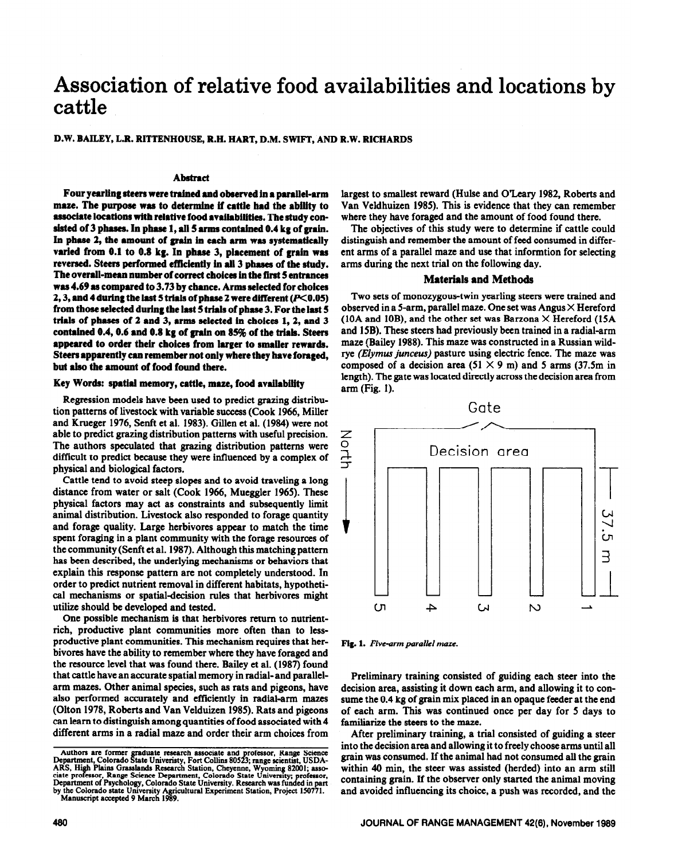# **Association of relative food availabilities and locations by cattle**

#### D.W. BAILEY, L.R. RITTENHOUSE, R.H. HART, D.M. SWIFT, AND R.W. RICHARDS

## **Abstract**

Four yearling steers were trained and observed in a parallel-arm maze. The purpose was to determine if cattle had the ability to associate locations with relative food availabilities. The study consisted of 3 phases. In phase 1, all 5 arms contained 0.4 kg of grain. In phase 2, the amount of grain in each arm was systematically **varied from 0.1 to 0.8 kg. In phase 3, placement of grain was reversed. Steers performed efficiently in all 3 phases of tbe study. The overaIl-mean number of correct cboicee in tbe first 5 entrancea was 4.69 as compared to 3.73 by chance. Arms selected for choices 2, 3, and 4 during the last 5 trials of phase 2 were different (P<0.05) from those selected during tbe last 5 trials of pbase 3. For tbe last 5 triah of phases of 2 and 3, arms selected in choices 1,2, and 3**  contained 0.4, 0.6 and 0.8 kg of grain on 85% of the trials. Steers **appeared to order their choices from larger to smaller rewards. Steers apparently can remember not only where they have foraged, but aIso tbe amount of food found there.** 

#### **Key Words: spatial memory, cattle, maze, food availability**

Regression models have been used to predict grazing distribution patterns of livestock with variable success (Cook 1966, Miller and Krueger 1976, Senft et al. 1983). Gillen et al. (1984) were not able to predict grazing distribution patterns with useful precision. The authors speculated that grazing distribution patterns were difficult to predict because they were influenced by a complex of physical and biological factors.

Cattle tend to avoid steep slopes and to avoid traveling a long distance from water or salt (Cook 1966, Mueggler 1965). These physical factors may act as constraints and subsequently limit animal distribution. Livestock also responded to forage quantity and forage quality. Large herbivores appear to match the time spent foraging in a plant community with the forage resources of the community (Senft et al. 1987). Although this matching pattern has been described, the underlying mechanisms or behaviors that explain this response pattern are not completely understood. In order to predict nutrient removal in different habitats, hypothetical mechanisms or spatial-decision rules that herbivores might utilize should be developed and tested.

One possible mechanism is that herbivores return to nutrientrich, productive plant communities more often than to lessproductive plant communities. This mechanism requires that herbivores have the ability to remember where they have foraged and the resource level that was found there. Bailey et al. (1987) found that cattle have an accurate spatial memory in radial- and parallelarm mazes. Other animal species, such as rats and pigeons, have also performed accurately and efftciently in radial-arm mazes (Olton 1978, Roberts and Van Velduizen 1985). Rats and pigeons can learn to distinguish **among** quantities of food associated with 4 different arms in a radial maze and order their arm choices from

largest to smallest reward (Hulse and O'Leary 1982, Roberts and Van Veldhuizen 1985). This is evidence that they can remember where they have foraged and the amount of food found there.

The objectives of this study were to determine if cattle could distinguish and remember the amount of feed consumed in different arms of a parallel maze and use that informtion for selecting arms during the next trial on the following day.

#### **Materials and Methods**

Two sets of monozygous-twin yearling steers were trained and observed in a 5-arm, parallel maze. One set was Angus  $\times$  Hereford (10A and 10B), and the other set was Barzona  $\times$  Hereford (15A) and 15B). These steers had previously been trained in a radial-arm maze (Bailey 1988). This maze was constructed in a Russian wildrye *(Elymus junceus)* pasture using electric fence. The maze was composed of a decision area (51  $\times$  9 m) and 5 arms (37.5m in length). The gate was located directly across the decision area from arm (Fig. I).



*Fig. 1. Five-arm parallel maze.* 

Preliminary training consisted of guiding each steer into the decision area, assisting it down each arm, and allowing it to consume the 0.4 kg of grain mix placed in an opaque feeder at the end of each arm. This was continued once per day for 5 days to familiarize the steers to the maze.

After preliminary training, a trial consisted of guiding a steer into the decision area and allowing it to freely choose arms until all grain was consumed. If the animal had not consumed all the grain within 40 min, the steer was assisted (herded) into an arm still containing grain. If the observer only started the animal moving and avoided influencing its choice, a push was recorded, and the

Authors are former graduate research associate and **Department, Colorado State University**, Fort Collins 805. **\$**  raduate research associate and professor, Range Science<br>tate Univeristy, Fort Collins 80523; range scientist, USDA-Department, Colorado State Univeristy, Fort Collins 80523; range scientist, USDA-ARS, High Plains Grasslands Research Station, Cheyenne, Wyoming 82001; associate professor, Range Science Department, Colorado State Universi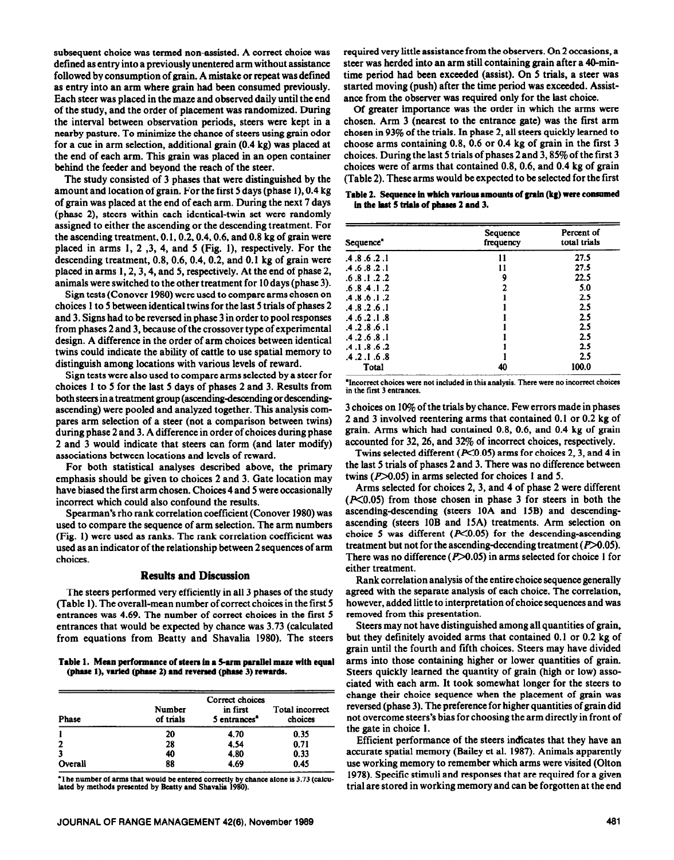subsequent choice was termed non-assisted. **A correct** choice was defined as entry into a previously unentered arm without assistance followed by consumption of grain. A **mistake or** repeat was defined as entry into an arm where grain had been consumed previously. Each steer was placed in the maze and observed daily until the end of the study, and the order of placement was randomized. During the interval between observation periods, steers were kept in a nearby pasture. To minimize the chance of steers using grain odor for a cue in arm selection, additional grain (0.4 kg) was placed at the end of each arm. This grain was placed in an open container behind the feeder and beyond the reach of the steer.

The study consisted of 3 phases that were distinguished by the amount and location of grain. For the first 5 days (phase I), 0.4 kg of grain was placed at the end of each arm. During the next 7 days (phase 2), steers within each identical-twin set were randomly assigned to either the ascending or the descending treatment. For the ascending treatment, 0.1,0.2,0.4,0.6, and 0.8 kg of grain were placed in arms 1, 2 ,3, 4, and 5 (Fig. 1), respectively. For the descending treatment, 0.8,0.6,0.4,0.2, and 0.1 kg of grain were placed in arms 1,2,3,4, and 5, respectively. At the end of phase 2, animals were switched to the other treatment for 10 days (phase 3).

Sign tests (Conover 1980) were used to compare arms chosen on choices 1 to 5 between identical twins for the last 5 trials of phases 2 and 3. Signs had to be reversed in phase 3 in order to pool responses from phases 2 and 3, because of the crossover type of experimental design. A difference in the order of arm choices between identical twins could indicate the ability of cattle to use spatial memory to distinguish among locations with various levels of reward.

Sign tests were also used to compare arms selected by a steer for choices 1 to 5 for the last 5 days of phases 2 and 3. Results from both steers in a treatment group (ascending-descending or descendingascending) were pooled and analyzed together. This analysis compares arm selection of a steer (not a comparison between twins) during phase 2 and 3. A difference in order of choices during phase 2 and 3 would indicate that steers can form (and later modify) associations between locations and levels of reward.

For both statistical analyses described above, the primary emphasis should be given to choices 2 and 3. Gate location may have biased the first arm chosen. Choices 4 and 5 were occasionally incorrect which could also confound the results.

Spearman's rho rank correlation coefficient (Conover 1980) was used to compare the sequence of arm selection. The arm numbers (Fig. 1) were used as ranks. The rank correlation coefficient was used as an indicator of the relationship between 2 sequences of arm choices.

### **Results and Discussion**

The steers performed very efficiently in all 3 phases of the study (Table 1). The overall-mean number of correct choices in the first 5 entrances was 4.69. The number of correct choices in the first 5 entrances that would be expected by chance was 3.73 (calculated from equations from Beatty and Shavalia 1980). The steers

Table 1. Mean performance of steers in a 5-arm parallel maze with equal (phase 1), varied (phase 2) and reversed (phase 3) rewards.

| <b>Phase</b>   | Number<br>of trials | Correct choices<br>in first<br>5 entrances <sup>a</sup> | Total incorrect<br>choices |
|----------------|---------------------|---------------------------------------------------------|----------------------------|
|                | 20                  | 4.70                                                    | 0.35                       |
| $\overline{2}$ | 28                  | 4.54                                                    | 0.71                       |
| 3              | 40                  | 4.80                                                    | 0.33                       |
| Overall        | 88                  | 4.69                                                    | 0.45                       |

**The number of arms that would be entered correctly by chance alone is 3.73 (calcu**lated by methods presented by Beatty and Shavalia 1980).

required very little assistance from the observers. On 2 occasions, a steer was herded into an arm still containing grain after a 40-mintime period had been exceeded (assist). On 5 trials, a steer was started moving (push) after the time period was exceeded. Assistance from the observer was required only for the last choice.

Of greater importance was the order in which the arms were chosen. Arm 3 (nearest to the entrance gate) was the first arm chosen in 93% of the trials. In phase 2, all steers quickly learned to choose arms containing 0.8, 0.6 or 0.4 kg of grain in the first 3 choices. During the last 5 trials of phases 2 and 3,85% of the first 3 choices were of arms that contained 0.8, 0.6, and 0.4 kg of grain (Table 2). These arms would be expected to be selected for the first

Table 2. Sequence in which various amounts of grain (kg) were consumed in the last 5 trials of phases 2 and 3.

| Sequence <sup>*</sup> | Sequence<br>frequency | Percent of<br>total trials |
|-----------------------|-----------------------|----------------------------|
| .4.8.6.2.1            | 11                    | 27.5                       |
| .4 .6 .8 .2 .1        | 11                    | 27.5                       |
| .6.8.1.2.2            | 9                     | 22.5                       |
| .6.8.4.1.2            | ,                     | 5.0                        |
| .4.8.6.1.2            |                       | 2.5                        |
| .4.8.2.6.1            |                       | 2.5                        |
| .4 .6 .2 .1 .8        |                       | 2.5                        |
| .4.2.8.6.1            |                       | 2.5                        |
| .4.2.6.8.1            |                       | 2.5                        |
| .4 .1 .8 .6 .2        |                       | 2.5                        |
| .4.2.1.6.8            |                       | 2.5                        |
| Total                 | 40                    | 100.0                      |

**'Incorrect choices wcrc not included in this analysis. There were no incorrect choices in the first 3 entrances.** 

3 choices on 10% of the trials by chance. Few errors made in phases 2 and 3 involved reentering arms that contained 0.1 or 0.2 kg of grain. Arms which had contained 0.8, 0.6, and 0.4 kg of grain accounted for 32,26, and 32% of incorrect choices, respectively.

Twins selected different ( $P<0.05$ ) arms for choices 2, 3, and 4 in the last 5 trials of phases 2 and 3. There was no difference between twins  $(P>0.05)$  in arms selected for choices 1 and 5.

Arms selected for choices 2,3, and 4 of phase 2 were different  $(F<0.05)$  from those chosen in phase 3 for steers in both the ascending-descending (steers 10A and 15B) and descendingascending (steers 10B and 15A) treatments. Arm selection on choice 5 was different  $(P<0.05)$  for the descending-ascending treatment but not for the ascending-decending treatment  $(P>0.05)$ . There was no difference ( $P > 0.05$ ) in arms selected for choice 1 for either treatment.

Rank correlation analysis of the entire choice sequence generally agreed with the separate analysis of each choice. The correlation, however, added little to interpretation of choice sequences and was removed from this presentation.

Steers may not have distinguished among all quantities of grain, but they definitely avoided arms that contained 0.1 or 0.2 kg of grain until the fourth and fifth choices. Steers may have divided arms into those containing higher or lower quantities of grain. Steers quickly learned the quantity of grain (high or low) associated with each arm. It took somewhat longer for the steers to change their choice sequence when the placement of grain was reversed (phase 3). The preference for higher quantities of grain did not overcome steers's bias for choosing the arm directly in front of the gate in choice 1.

Efficient performance of the steers indicates that they have an accurate spatial memory (Bailey et al. 1987). Animals apparently use working memory to remember which arms were visited (Olton 1978). Specific stimuli and responses that are required for a given trial are stored in working memory and can be forgotten at the end